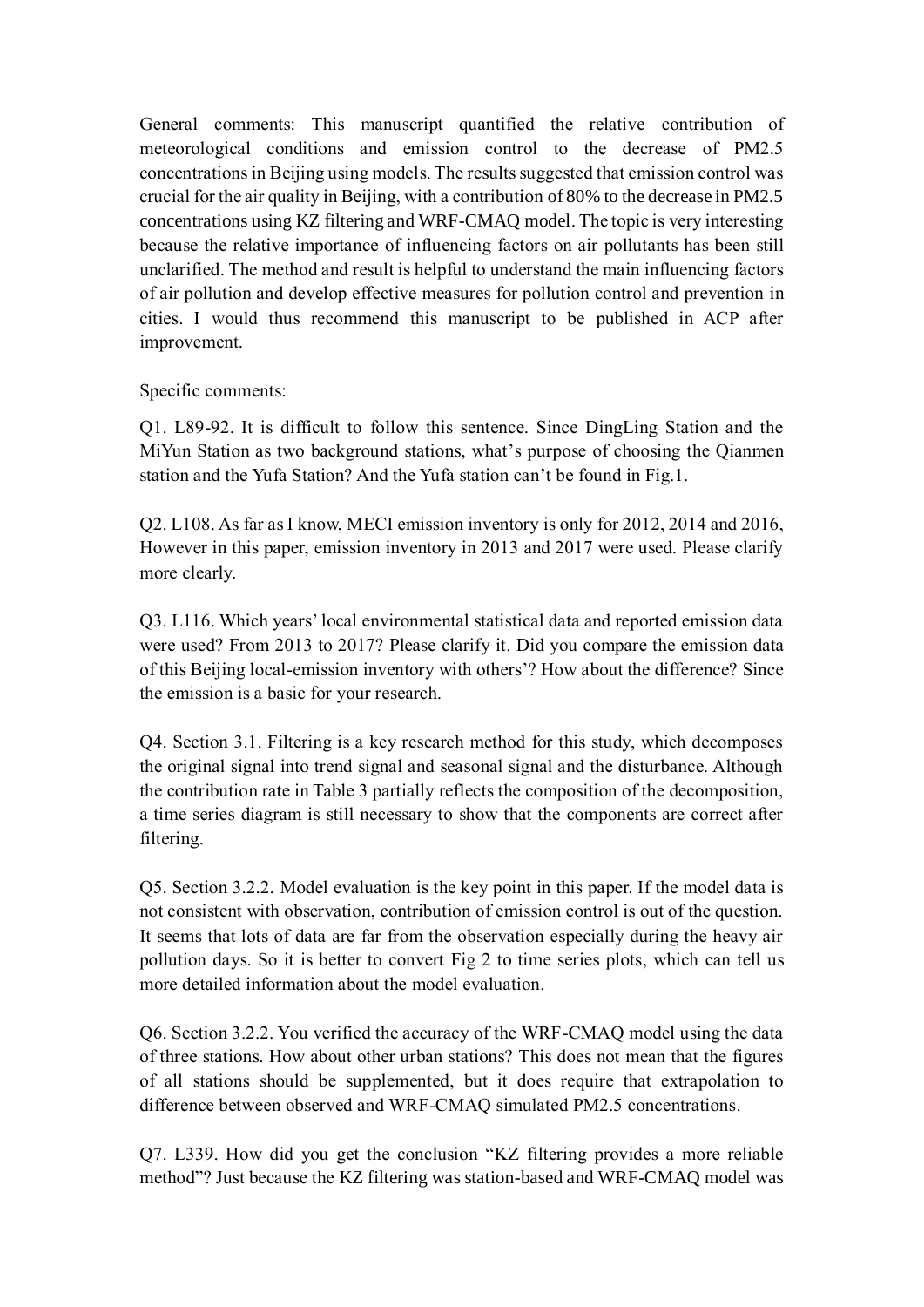General comments: This manuscript quantified the relative contribution of meteorological conditions and emission control to the decrease of PM2.5 concentrations in Beijing using models. The results suggested that emission control was crucial for the air quality in Beijing, with a contribution of 80% to the decrease in PM2.5 concentrations using KZ filtering and WRF-CMAQ model. The topic is very interesting because the relative importance of influencing factors on air pollutants has been still unclarified. The method and result is helpful to understand the main influencing factors of air pollution and develop effective measures for pollution control and prevention in cities. I would thus recommend this manuscript to be published in ACP after improvement.

Specific comments:

Q1. L89-92. It is difficult to follow this sentence. Since DingLing Station and the MiYun Station as two background stations, what's purpose of choosing the Qianmen station and the Yufa Station? And the Yufa station can't be found in Fig.1.

Q2. L108. As far as I know, MECI emission inventory is only for 2012, 2014 and 2016, However in this paper, emission inventory in 2013 and 2017 were used. Please clarify more clearly.

Q3. L116. Which years' local environmental statistical data and reported emission data were used? From 2013 to 2017? Please clarify it. Did you compare the emission data of this Beijing local-emission inventory with others'? How about the difference? Since the emission is a basic for your research.

Q4. Section 3.1. Filtering is a key research method for this study, which decomposes the original signal into trend signal and seasonal signal and the disturbance. Although the contribution rate in Table 3 partially reflects the composition of the decomposition, a time series diagram is still necessary to show that the components are correct after filtering.

Q5. Section 3.2.2. Model evaluation is the key point in this paper. If the model data is not consistent with observation, contribution of emission control is out of the question. It seems that lots of data are far from the observation especially during the heavy air pollution days. So it is better to convert Fig 2 to time series plots, which can tell us more detailed information about the model evaluation.

Q6. Section 3.2.2. You verified the accuracy of the WRF-CMAQ model using the data of three stations. How about other urban stations? This does not mean that the figures of all stations should be supplemented, but it does require that extrapolation to difference between observed and WRF-CMAQ simulated PM2.5 concentrations.

Q7. L339. How did you get the conclusion "KZ filtering provides a more reliable method"? Just because the KZ filtering was station-based and WRF-CMAQ model was